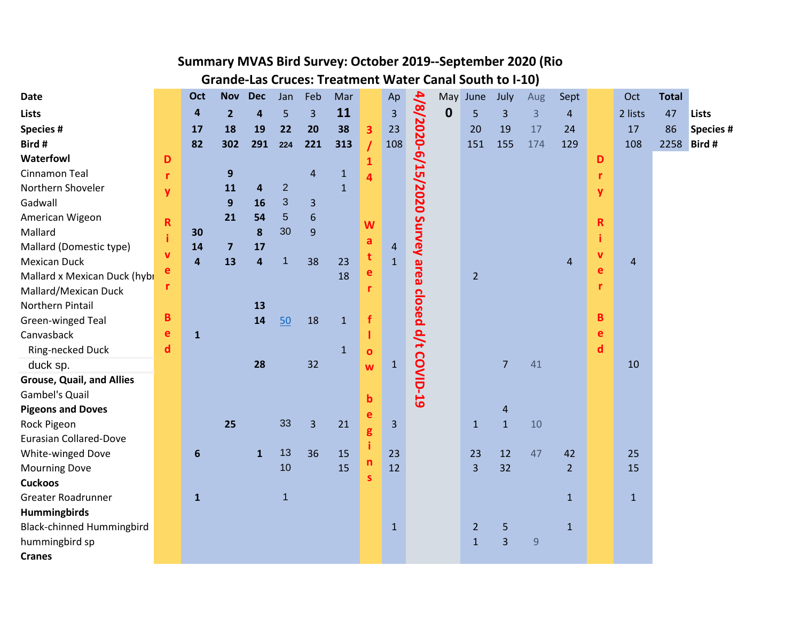## **Summary MVAS Bird Survey: October 2019--September 2020 (Rio**

**Grande-Las Cruces: Treatment Water Canal South to I-10)** 

| <b>Date</b>                      |                         | Oct                     | <b>Nov</b>              | <b>Dec</b>   | Jan            | Feb            | Mar          |              | Ap           |                                | May         | June           | July           | Aug         | Sept           |   | Oct            | <b>Total</b> |                  |
|----------------------------------|-------------------------|-------------------------|-------------------------|--------------|----------------|----------------|--------------|--------------|--------------|--------------------------------|-------------|----------------|----------------|-------------|----------------|---|----------------|--------------|------------------|
| <b>Lists</b>                     |                         | $\overline{\mathbf{a}}$ | $\overline{2}$          | 4            | 5              | 3              | 11           |              | 3            | 4/8/2020-6/15/2020 Survey area | $\mathbf 0$ | 5              | $\overline{3}$ | 3           | $\overline{4}$ |   | 2 lists        | 47           | Lists            |
| <b>Species #</b>                 |                         | 17                      | 18                      | 19           | 22             | 20             | 38           | 3            | 23           |                                |             | 20             | 19             | 17          | 24             |   | 17             | 86           | <b>Species #</b> |
| Bird#                            |                         | 82                      | 302                     | 291          | 224            | 221            | 313          |              | 108          |                                |             | 151            | 155            | 174         | 129            |   | 108            |              | 2258 Bird #      |
| <b>Waterfowl</b>                 | D                       |                         |                         |              |                |                |              | $\mathbf{1}$ |              |                                |             |                |                |             |                | D |                |              |                  |
| Cinnamon Teal                    | r                       |                         | $\mathbf{9}$            |              |                | $\overline{a}$ | $\mathbf{1}$ | 4            |              |                                |             |                |                |             |                | r |                |              |                  |
| Northern Shoveler                | y                       |                         | 11                      | 4            | $\overline{c}$ |                | $\mathbf{1}$ |              |              |                                |             |                |                |             |                | y |                |              |                  |
| Gadwall                          |                         |                         | 9                       | 16           | 3              | 3              |              |              |              |                                |             |                |                |             |                |   |                |              |                  |
| American Wigeon                  | $\overline{\mathsf{R}}$ |                         | 21                      | 54           | $\overline{5}$ | 6              |              |              |              |                                |             |                |                |             |                | R |                |              |                  |
| Mallard                          |                         | 30                      |                         | 8            | 30             | 9              |              | W            |              |                                |             |                |                |             |                |   |                |              |                  |
| Mallard (Domestic type)          |                         | 14                      | $\overline{\mathbf{z}}$ | 17           |                |                |              | a            | 4            |                                |             |                |                |             |                |   |                |              |                  |
| <b>Mexican Duck</b>              | $\mathbf v$             | $\overline{\mathbf{4}}$ | 13                      | 4            | $\overline{1}$ | 38             | 23           | t            | $\mathbf{1}$ |                                |             |                |                |             | $\overline{4}$ | v | $\overline{a}$ |              |                  |
| Mallard x Mexican Duck (hybi     | e                       |                         |                         |              |                |                | 18           | e            |              |                                |             | $\overline{2}$ |                |             |                | e |                |              |                  |
| Mallard/Mexican Duck             | r                       |                         |                         |              |                |                |              | r            |              |                                |             |                |                |             |                |   |                |              |                  |
| Northern Pintail                 |                         |                         |                         | 13           |                |                |              |              |              |                                |             |                |                |             |                |   |                |              |                  |
| Green-winged Teal                | B                       |                         |                         | 14           | 50             | 18             | $\mathbf{1}$ | f            |              |                                |             |                |                |             |                | B |                |              |                  |
| Canvasback                       | e                       | $\mathbf{1}$            |                         |              |                |                |              |              |              |                                |             |                |                |             |                | e |                |              |                  |
| Ring-necked Duck                 | $\mathbf d$             |                         |                         |              |                |                | $\mathbf{1}$ | $\mathbf{o}$ |              |                                |             |                |                |             |                | d |                |              |                  |
| duck sp.                         |                         |                         |                         | 28           |                | 32             |              | W            | $\mathbf{1}$ |                                |             |                | $\overline{7}$ | 41          |                |   | 10             |              |                  |
| <b>Grouse, Quail, and Allies</b> |                         |                         |                         |              |                |                |              |              |              | closed d/t COVID-19            |             |                |                |             |                |   |                |              |                  |
| Gambel's Quail                   |                         |                         |                         |              |                |                |              | $\mathbf b$  |              |                                |             |                |                |             |                |   |                |              |                  |
| <b>Pigeons and Doves</b>         |                         |                         |                         |              |                |                |              | e            |              |                                |             |                | $\overline{4}$ |             |                |   |                |              |                  |
| Rock Pigeon                      |                         |                         | 25                      |              | 33             | $\overline{3}$ | 21           |              | 3            |                                |             | $\mathbf{1}$   | $\mathbf{1}$   | 10          |                |   |                |              |                  |
| <b>Eurasian Collared-Dove</b>    |                         |                         |                         |              |                |                |              | g            |              |                                |             |                |                |             |                |   |                |              |                  |
| White-winged Dove                |                         | $6\phantom{1}6$         |                         | $\mathbf{1}$ | 13             | 36             | 15           | j            | 23           |                                |             | 23             | 12             | 47          | 42             |   | 25             |              |                  |
| <b>Mourning Dove</b>             |                         |                         |                         |              | 10             |                | 15           | n            | 12           |                                |             | 3              | 32             |             | $\overline{2}$ |   | 15             |              |                  |
| <b>Cuckoos</b>                   |                         |                         |                         |              |                |                |              | $\mathsf{s}$ |              |                                |             |                |                |             |                |   |                |              |                  |
| Greater Roadrunner               |                         | $\mathbf{1}$            |                         |              | $\overline{1}$ |                |              |              |              |                                |             |                |                |             | $\mathbf{1}$   |   | $\mathbf{1}$   |              |                  |
| <b>Hummingbirds</b>              |                         |                         |                         |              |                |                |              |              |              |                                |             |                |                |             |                |   |                |              |                  |
| <b>Black-chinned Hummingbird</b> |                         |                         |                         |              |                |                |              |              | $\mathbf{1}$ |                                |             | $\overline{2}$ | 5              |             | $\mathbf{1}$   |   |                |              |                  |
| hummingbird sp                   |                         |                         |                         |              |                |                |              |              |              |                                |             | $\mathbf{1}$   | 3              | $\mathsf 9$ |                |   |                |              |                  |
| <b>Cranes</b>                    |                         |                         |                         |              |                |                |              |              |              |                                |             |                |                |             |                |   |                |              |                  |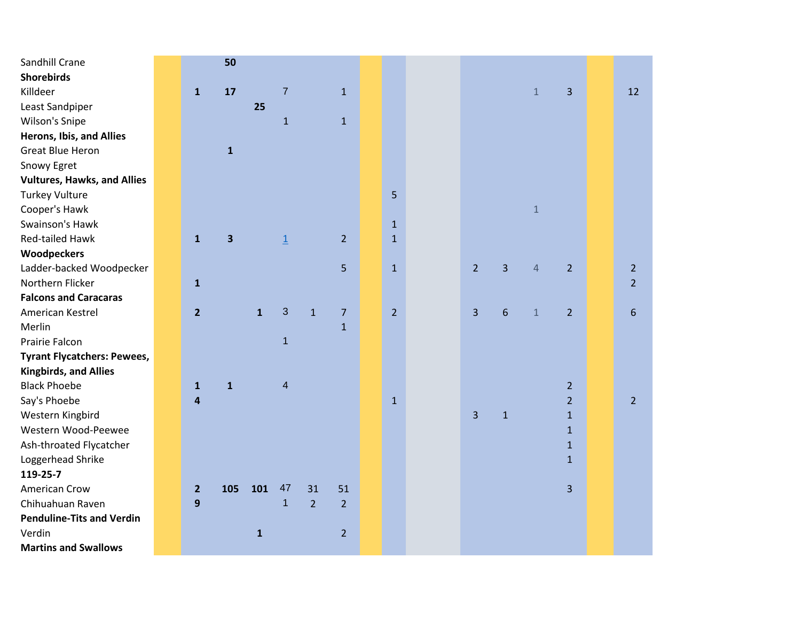| Sandhill Crane                     |                         | 50                      |              |                 |                |                |                |                |              |                |                |                |
|------------------------------------|-------------------------|-------------------------|--------------|-----------------|----------------|----------------|----------------|----------------|--------------|----------------|----------------|----------------|
| <b>Shorebirds</b>                  |                         |                         |              |                 |                |                |                |                |              |                |                |                |
| Killdeer                           | $\mathbf{1}$            | 17                      |              | $\overline{7}$  |                | $\mathbf{1}$   |                |                |              | $\mathbf{1}$   | $\overline{3}$ | 12             |
| Least Sandpiper                    |                         |                         | 25           |                 |                |                |                |                |              |                |                |                |
| Wilson's Snipe                     |                         |                         |              | $\mathbf{1}$    |                | $\mathbf{1}$   |                |                |              |                |                |                |
| Herons, Ibis, and Allies           |                         |                         |              |                 |                |                |                |                |              |                |                |                |
| Great Blue Heron                   |                         | $\mathbf{1}$            |              |                 |                |                |                |                |              |                |                |                |
| Snowy Egret                        |                         |                         |              |                 |                |                |                |                |              |                |                |                |
| <b>Vultures, Hawks, and Allies</b> |                         |                         |              |                 |                |                |                |                |              |                |                |                |
| Turkey Vulture                     |                         |                         |              |                 |                |                | 5              |                |              |                |                |                |
| Cooper's Hawk                      |                         |                         |              |                 |                |                |                |                |              | $\mathbf{1}$   |                |                |
| Swainson's Hawk                    |                         |                         |              |                 |                |                | $\mathbf{1}$   |                |              |                |                |                |
| Red-tailed Hawk                    | $\mathbf{1}$            | $\overline{\mathbf{3}}$ |              | $\underline{1}$ |                | $\overline{2}$ | $\mathbf{1}$   |                |              |                |                |                |
| <b>Woodpeckers</b>                 |                         |                         |              |                 |                |                |                |                |              |                |                |                |
| Ladder-backed Woodpecker           |                         |                         |              |                 |                | 5              | $\mathbf{1}$   | $\overline{2}$ | 3            | $\overline{4}$ | $\overline{2}$ | $\overline{2}$ |
| Northern Flicker                   | $\mathbf{1}$            |                         |              |                 |                |                |                |                |              |                |                | $\overline{2}$ |
| <b>Falcons and Caracaras</b>       |                         |                         |              |                 |                |                |                |                |              |                |                |                |
| American Kestrel                   | $\overline{2}$          |                         | $\mathbf{1}$ | $\mathbf{3}$    | $\mathbf{1}$   | $\overline{7}$ | $\overline{2}$ | $\overline{3}$ | 6            | $\mathbf{1}$   | $\overline{2}$ | $6\phantom{1}$ |
| Merlin                             |                         |                         |              |                 |                | $\mathbf{1}$   |                |                |              |                |                |                |
| Prairie Falcon                     |                         |                         |              | $\mathbf{1}$    |                |                |                |                |              |                |                |                |
| <b>Tyrant Flycatchers: Pewees,</b> |                         |                         |              |                 |                |                |                |                |              |                |                |                |
| <b>Kingbirds, and Allies</b>       |                         |                         |              |                 |                |                |                |                |              |                |                |                |
| <b>Black Phoebe</b>                | $\mathbf{1}$            | $\mathbf{1}$            |              | $\overline{4}$  |                |                |                |                |              |                | $\overline{2}$ |                |
| Say's Phoebe                       | $\overline{\mathbf{4}}$ |                         |              |                 |                |                | $\mathbf{1}$   |                |              |                | 2 <sup>1</sup> | $\overline{2}$ |
| Western Kingbird                   |                         |                         |              |                 |                |                |                | $\overline{3}$ | $\mathbf{1}$ |                | $\mathbf{1}$   |                |
| Western Wood-Peewee                |                         |                         |              |                 |                |                |                |                |              |                | $\mathbf{1}$   |                |
| Ash-throated Flycatcher            |                         |                         |              |                 |                |                |                |                |              |                | $\mathbf{1}$   |                |
| Loggerhead Shrike                  |                         |                         |              |                 |                |                |                |                |              |                | $\mathbf{1}$   |                |
| 119-25-7                           |                         |                         |              |                 |                |                |                |                |              |                |                |                |
| American Crow                      | $\overline{2}$          | 105                     | 101          | 47              | 31             | 51             |                |                |              |                | $\overline{3}$ |                |
| Chihuahuan Raven                   | 9                       |                         |              | $\mathbf{1}$    | $\overline{2}$ | $\overline{2}$ |                |                |              |                |                |                |
| <b>Penduline-Tits and Verdin</b>   |                         |                         |              |                 |                |                |                |                |              |                |                |                |
| Verdin                             |                         |                         | $\mathbf{1}$ |                 |                | $\overline{2}$ |                |                |              |                |                |                |
| <b>Martins and Swallows</b>        |                         |                         |              |                 |                |                |                |                |              |                |                |                |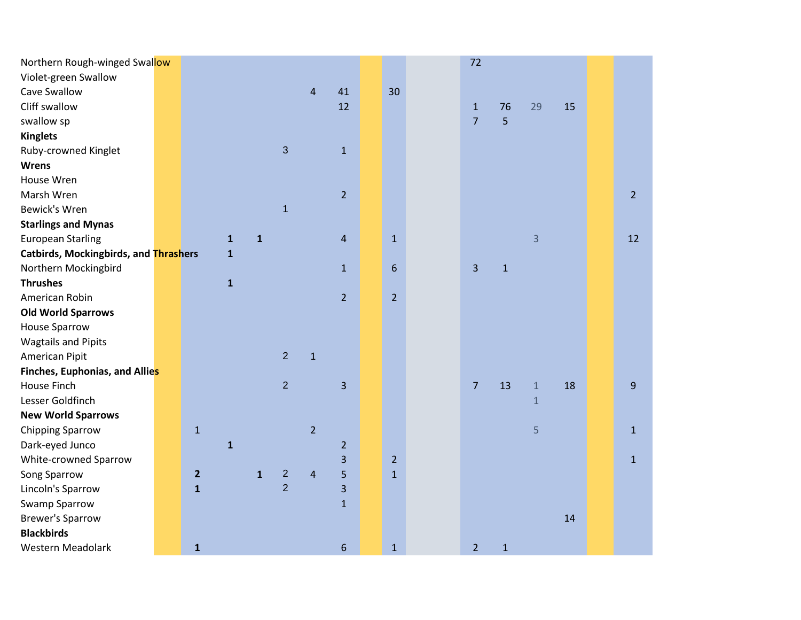| Northern Rough-winged Swallow                |                |              |              |                         |                |                  |                  | 72             |             |                |    |                |
|----------------------------------------------|----------------|--------------|--------------|-------------------------|----------------|------------------|------------------|----------------|-------------|----------------|----|----------------|
| Violet-green Swallow                         |                |              |              |                         |                |                  |                  |                |             |                |    |                |
| Cave Swallow                                 |                |              |              |                         | $\overline{4}$ | 41               | 30               |                |             |                |    |                |
| Cliff swallow                                |                |              |              |                         |                | 12               |                  | $\mathbf{1}$   | 76          | 29             | 15 |                |
| swallow sp                                   |                |              |              |                         |                |                  |                  | $\overline{7}$ | 5           |                |    |                |
| <b>Kinglets</b>                              |                |              |              |                         |                |                  |                  |                |             |                |    |                |
| Ruby-crowned Kinglet                         |                |              |              | $\mathbf{3}$            |                | $1\,$            |                  |                |             |                |    |                |
| <b>Wrens</b>                                 |                |              |              |                         |                |                  |                  |                |             |                |    |                |
| House Wren                                   |                |              |              |                         |                |                  |                  |                |             |                |    |                |
| Marsh Wren                                   |                |              |              |                         |                | $\overline{2}$   |                  |                |             |                |    | $\overline{2}$ |
| <b>Bewick's Wren</b>                         |                |              |              | $\overline{\mathbf{1}}$ |                |                  |                  |                |             |                |    |                |
| <b>Starlings and Mynas</b>                   |                |              |              |                         |                |                  |                  |                |             |                |    |                |
| <b>European Starling</b>                     |                | $\mathbf{1}$ | $\mathbf{1}$ |                         |                | $\overline{4}$   | $\mathbf{1}$     |                |             | $\overline{3}$ |    | 12             |
| <b>Catbirds, Mockingbirds, and Thrashers</b> |                | $\mathbf{1}$ |              |                         |                |                  |                  |                |             |                |    |                |
| Northern Mockingbird                         |                |              |              |                         |                | $\mathbf{1}$     | $\boldsymbol{6}$ | 3              | $\mathbf 1$ |                |    |                |
| <b>Thrushes</b>                              |                | $\mathbf{1}$ |              |                         |                |                  |                  |                |             |                |    |                |
| American Robin                               |                |              |              |                         |                | $\overline{2}$   | $\overline{2}$   |                |             |                |    |                |
| <b>Old World Sparrows</b>                    |                |              |              |                         |                |                  |                  |                |             |                |    |                |
| <b>House Sparrow</b>                         |                |              |              |                         |                |                  |                  |                |             |                |    |                |
| <b>Wagtails and Pipits</b>                   |                |              |              |                         |                |                  |                  |                |             |                |    |                |
| American Pipit                               |                |              |              | $\overline{2}$          | $\mathbf{1}$   |                  |                  |                |             |                |    |                |
| <b>Finches, Euphonias, and Allies</b>        |                |              |              |                         |                |                  |                  |                |             |                |    |                |
| <b>House Finch</b>                           |                |              |              | $\overline{2}$          |                | $\overline{3}$   |                  | $\overline{7}$ | 13          | $\mathbf{1}$   | 18 | 9              |
| Lesser Goldfinch                             |                |              |              |                         |                |                  |                  |                |             | $\mathbf{1}$   |    |                |
| <b>New World Sparrows</b>                    |                |              |              |                         |                |                  |                  |                |             |                |    |                |
| <b>Chipping Sparrow</b>                      | $\mathbf{1}$   |              |              |                         | $\overline{2}$ |                  |                  |                |             | 5              |    | $\mathbf{1}$   |
| Dark-eyed Junco                              |                | $\mathbf{1}$ |              |                         |                | $\overline{2}$   |                  |                |             |                |    |                |
| <b>White-crowned Sparrow</b>                 |                |              |              |                         |                | 3                | $\overline{2}$   |                |             |                |    | $\mathbf{1}$   |
| Song Sparrow                                 | $\overline{2}$ |              | $\mathbf{1}$ | $\overline{2}$          | $\overline{4}$ | 5                | $\mathbf{1}$     |                |             |                |    |                |
| Lincoln's Sparrow                            | $\mathbf{1}$   |              |              | $\overline{2}$          |                | 3                |                  |                |             |                |    |                |
| Swamp Sparrow                                |                |              |              |                         |                | $\mathbf{1}$     |                  |                |             |                |    |                |
| <b>Brewer's Sparrow</b>                      |                |              |              |                         |                |                  |                  |                |             |                | 14 |                |
| <b>Blackbirds</b>                            |                |              |              |                         |                |                  |                  |                |             |                |    |                |
| Western Meadolark                            | $\mathbf{1}$   |              |              |                         |                | $\boldsymbol{6}$ | $\mathbf 1$      | $\overline{2}$ | $\mathbf 1$ |                |    |                |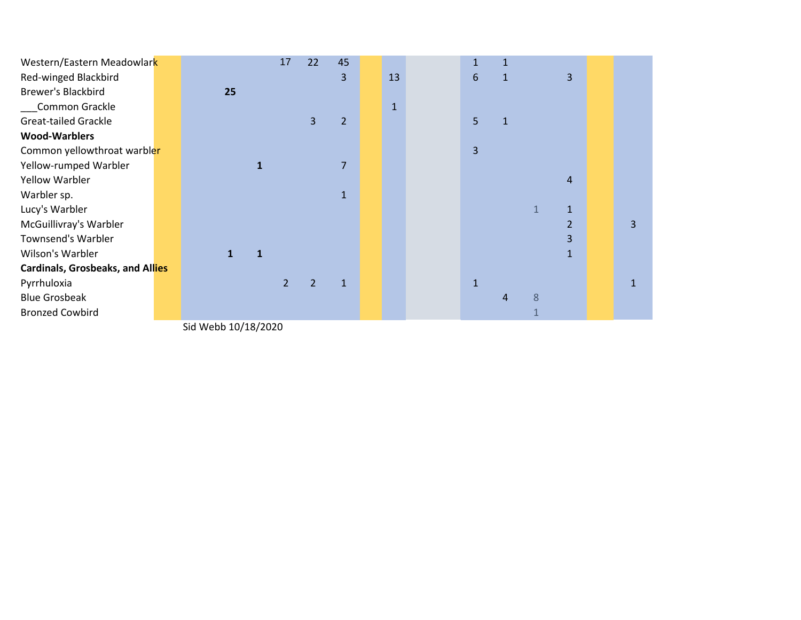| Western/Eastern Meadowlark              |  |    |   | 17             | 22             | 45             |              |              |              |   |                |                |
|-----------------------------------------|--|----|---|----------------|----------------|----------------|--------------|--------------|--------------|---|----------------|----------------|
| Red-winged Blackbird                    |  |    |   |                |                | 3              | 13           | 6            | $\mathbf{1}$ |   | 3              |                |
| <b>Brewer's Blackbird</b>               |  | 25 |   |                |                |                |              |              |              |   |                |                |
| Common Grackle                          |  |    |   |                |                |                | $\mathbf{1}$ |              |              |   |                |                |
| <b>Great-tailed Grackle</b>             |  |    |   |                | 3              | $\overline{2}$ |              | 5            | $\mathbf{1}$ |   |                |                |
| <b>Wood-Warblers</b>                    |  |    |   |                |                |                |              |              |              |   |                |                |
| Common yellowthroat warbler             |  |    |   |                |                |                |              | 3            |              |   |                |                |
| Yellow-rumped Warbler                   |  |    |   |                |                | $\overline{7}$ |              |              |              |   |                |                |
| <b>Yellow Warbler</b>                   |  |    |   |                |                |                |              |              |              |   | $\overline{4}$ |                |
| Warbler sp.                             |  |    |   |                |                | $\mathbf{1}$   |              |              |              |   |                |                |
| Lucy's Warbler                          |  |    |   |                |                |                |              |              |              |   | 1              |                |
| McGuillivray's Warbler                  |  |    |   |                |                |                |              |              |              |   | $\overline{2}$ | $\overline{3}$ |
| Townsend's Warbler                      |  |    |   |                |                |                |              |              |              |   | 3              |                |
| Wilson's Warbler                        |  | 1  | 1 |                |                |                |              |              |              |   |                |                |
| <b>Cardinals, Grosbeaks, and Allies</b> |  |    |   |                |                |                |              |              |              |   |                |                |
| Pyrrhuloxia                             |  |    |   | $\overline{2}$ | $\overline{2}$ | $\mathbf{1}$   |              | $\mathbf{1}$ |              |   |                | $\mathbf{1}$   |
| <b>Blue Grosbeak</b>                    |  |    |   |                |                |                |              |              | 4            | 8 |                |                |
| <b>Bronzed Cowbird</b>                  |  |    |   |                |                |                |              |              |              |   |                |                |
|                                         |  |    |   |                |                |                |              |              |              |   |                |                |

Sid Webb 10/18/2020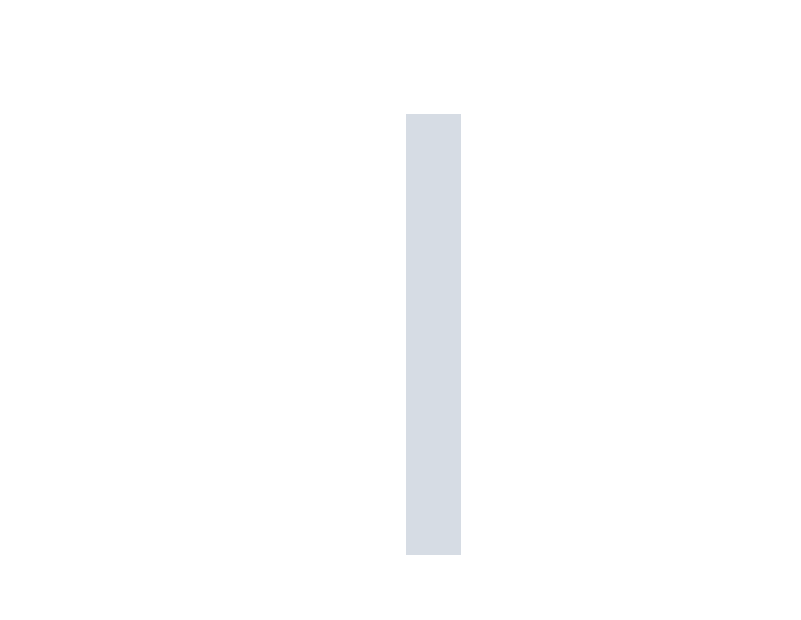